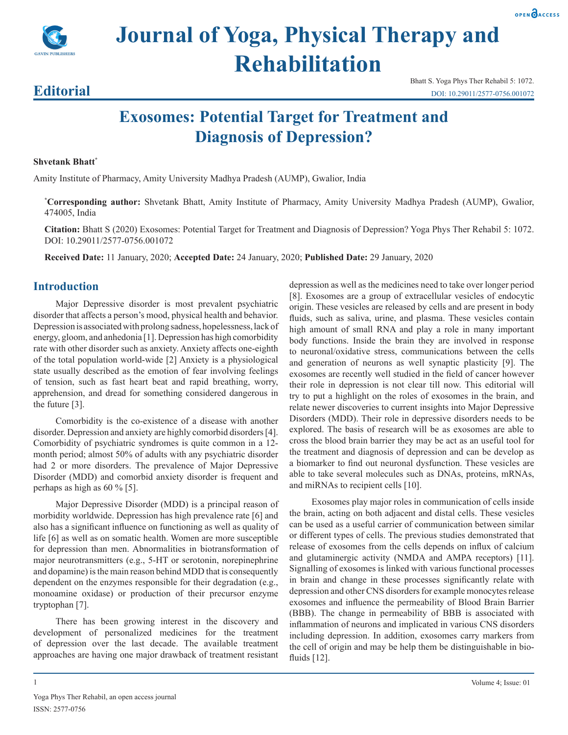



# **Journal of Yoga, Physical Therapy and Rehabilitation**

# **Editorial**

Bhatt S. Yoga Phys Ther Rehabil 5: 1072. DOI: 10.29011/2577-0756.001072

# **Exosomes: Potential Target for Treatment and Diagnosis of Depression?**

#### **Shvetank Bhatt\***

Amity Institute of Pharmacy, Amity University Madhya Pradesh (AUMP), Gwalior, India

**\* Corresponding author:** Shvetank Bhatt, Amity Institute of Pharmacy, Amity University Madhya Pradesh (AUMP), Gwalior, 474005, India

**Citation:** Bhatt S (2020) Exosomes: Potential Target for Treatment and Diagnosis of Depression? Yoga Phys Ther Rehabil 5: 1072. DOI: 10.29011/2577-0756.001072

**Received Date:** 11 January, 2020; **Accepted Date:** 24 January, 2020; **Published Date:** 29 January, 2020

## **Introduction**

Major Depressive disorder is most prevalent psychiatric disorder that affects a person's mood, physical health and behavior. Depression is associated with prolong sadness, hopelessness, lack of energy, gloom, and anhedonia [1]. Depression has high comorbidity rate with other disorder such as anxiety. Anxiety affects one-eighth of the total population world-wide [2] Anxiety is a physiological state usually described as the emotion of fear involving feelings of tension, such as fast heart beat and rapid breathing, worry, apprehension, and dread for something considered dangerous in the future [3].

Comorbidity is the co-existence of a disease with another disorder. Depression and anxiety are highly comorbid disorders [4]. Comorbidity of psychiatric syndromes is quite common in a 12 month period; almost 50% of adults with any psychiatric disorder had 2 or more disorders. The prevalence of Major Depressive Disorder (MDD) and comorbid anxiety disorder is frequent and perhaps as high as 60 % [5].

Major Depressive Disorder (MDD) is a principal reason of morbidity worldwide. Depression has high prevalence rate [6] and also has a significant influence on functioning as well as quality of life [6] as well as on somatic health. Women are more susceptible for depression than men. Abnormalities in biotransformation of major neurotransmitters (e.g., 5-HT or serotonin, norepinephrine and dopamine) is the main reason behind MDD that is consequently dependent on the enzymes responsible for their degradation (e.g., monoamine oxidase) or production of their precursor enzyme tryptophan [7].

There has been growing interest in the discovery and development of personalized medicines for the treatment of depression over the last decade. The available treatment approaches are having one major drawback of treatment resistant

depression as well as the medicines need to take over longer period [8]. Exosomes are a group of extracellular vesicles of endocytic origin. These vesicles are released by cells and are present in body fluids, such as saliva, urine, and plasma. These vesicles contain high amount of small RNA and play a role in many important body functions. Inside the brain they are involved in response to neuronal/oxidative stress, communications between the cells and generation of neurons as well synaptic plasticity [9]. The exosomes are recently well studied in the field of cancer however their role in depression is not clear till now. This editorial will try to put a highlight on the roles of exosomes in the brain, and relate newer discoveries to current insights into Major Depressive Disorders (MDD). Their role in depressive disorders needs to be explored. The basis of research will be as exosomes are able to cross the blood brain barrier they may be act as an useful tool for the treatment and diagnosis of depression and can be develop as a biomarker to find out neuronal dysfunction. These vesicles are able to take several molecules such as DNAs, proteins, mRNAs, and miRNAs to recipient cells [10].

Exosomes play major roles in communication of cells inside the brain, acting on both adjacent and distal cells. These vesicles can be used as a useful carrier of communication between similar or different types of cells. The previous studies demonstrated that release of exosomes from the cells depends on influx of calcium and glutaminergic activity (NMDA and AMPA receptors) [11]. Signalling of exosomes is linked with various functional processes in brain and change in these processes significantly relate with depression and other CNS disorders for example monocytes release exosomes and influence the permeability of Blood Brain Barrier (BBB). The change in permeability of BBB is associated with inflammation of neurons and implicated in various CNS disorders including depression. In addition, exosomes carry markers from the cell of origin and may be help them be distinguishable in biofluids [12].